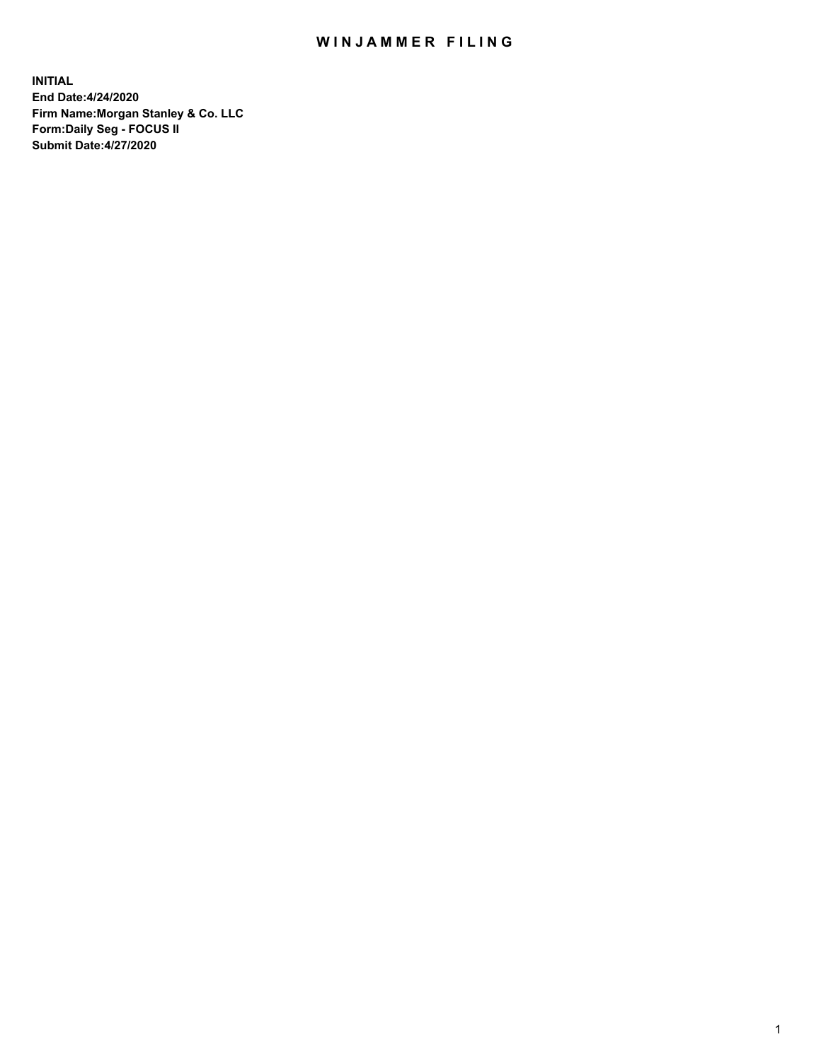## WIN JAMMER FILING

**INITIAL End Date:4/24/2020 Firm Name:Morgan Stanley & Co. LLC Form:Daily Seg - FOCUS II Submit Date:4/27/2020**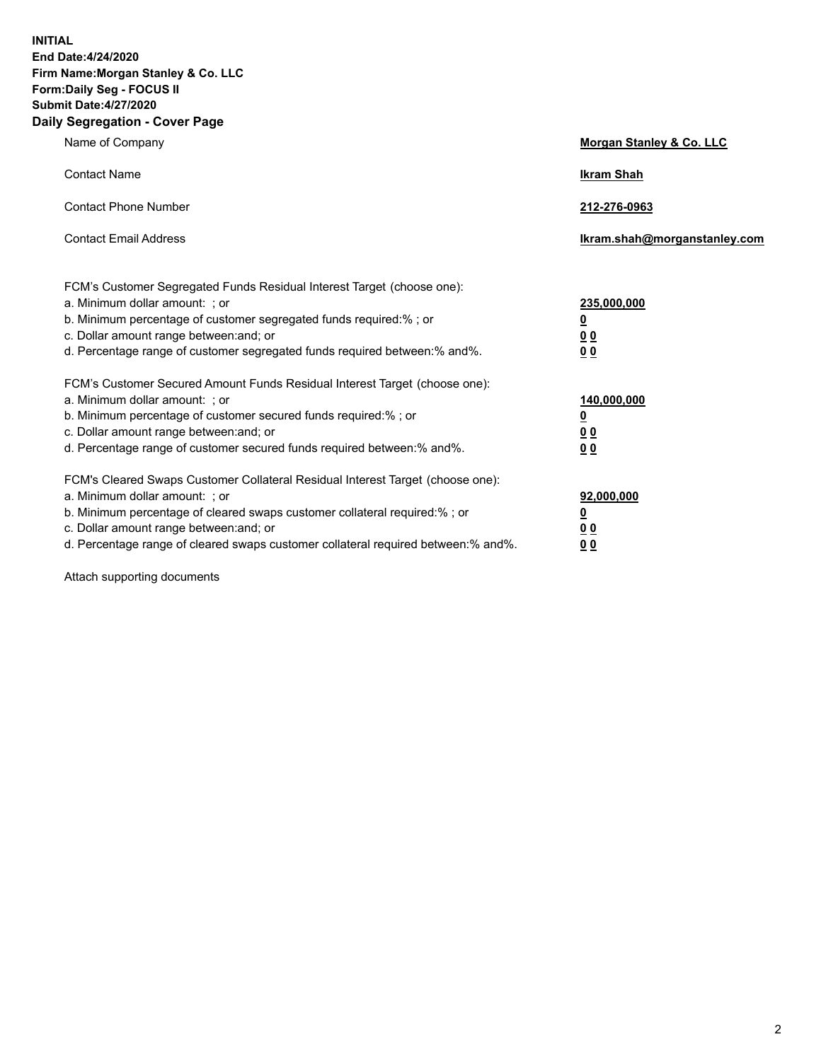**INITIAL End Date:4/24/2020 Firm Name:Morgan Stanley & Co. LLC Form:Daily Seg - FOCUS II Submit Date:4/27/2020 Daily Segregation - Cover Page**

| Name of Company                                                                                                                                                                                                                                                                                                                | Morgan Stanley & Co. LLC                        |
|--------------------------------------------------------------------------------------------------------------------------------------------------------------------------------------------------------------------------------------------------------------------------------------------------------------------------------|-------------------------------------------------|
| <b>Contact Name</b>                                                                                                                                                                                                                                                                                                            | <b>Ikram Shah</b>                               |
| <b>Contact Phone Number</b>                                                                                                                                                                                                                                                                                                    | 212-276-0963                                    |
| <b>Contact Email Address</b>                                                                                                                                                                                                                                                                                                   | Ikram.shah@morganstanley.com                    |
| FCM's Customer Segregated Funds Residual Interest Target (choose one):<br>a. Minimum dollar amount: ; or<br>b. Minimum percentage of customer segregated funds required:% ; or<br>c. Dollar amount range between: and; or<br>d. Percentage range of customer segregated funds required between:% and%.                         | 235,000,000<br><u>0</u><br><u>00</u><br>00      |
| FCM's Customer Secured Amount Funds Residual Interest Target (choose one):<br>a. Minimum dollar amount: ; or<br>b. Minimum percentage of customer secured funds required:% ; or<br>c. Dollar amount range between: and; or<br>d. Percentage range of customer secured funds required between:% and%.                           | 140,000,000<br><u>0</u><br>0 <sub>0</sub><br>00 |
| FCM's Cleared Swaps Customer Collateral Residual Interest Target (choose one):<br>a. Minimum dollar amount: ; or<br>b. Minimum percentage of cleared swaps customer collateral required:% ; or<br>c. Dollar amount range between: and; or<br>d. Percentage range of cleared swaps customer collateral required between:% and%. | 92,000,000<br><u>0</u><br>0 Q<br>0 <sub>0</sub> |

Attach supporting documents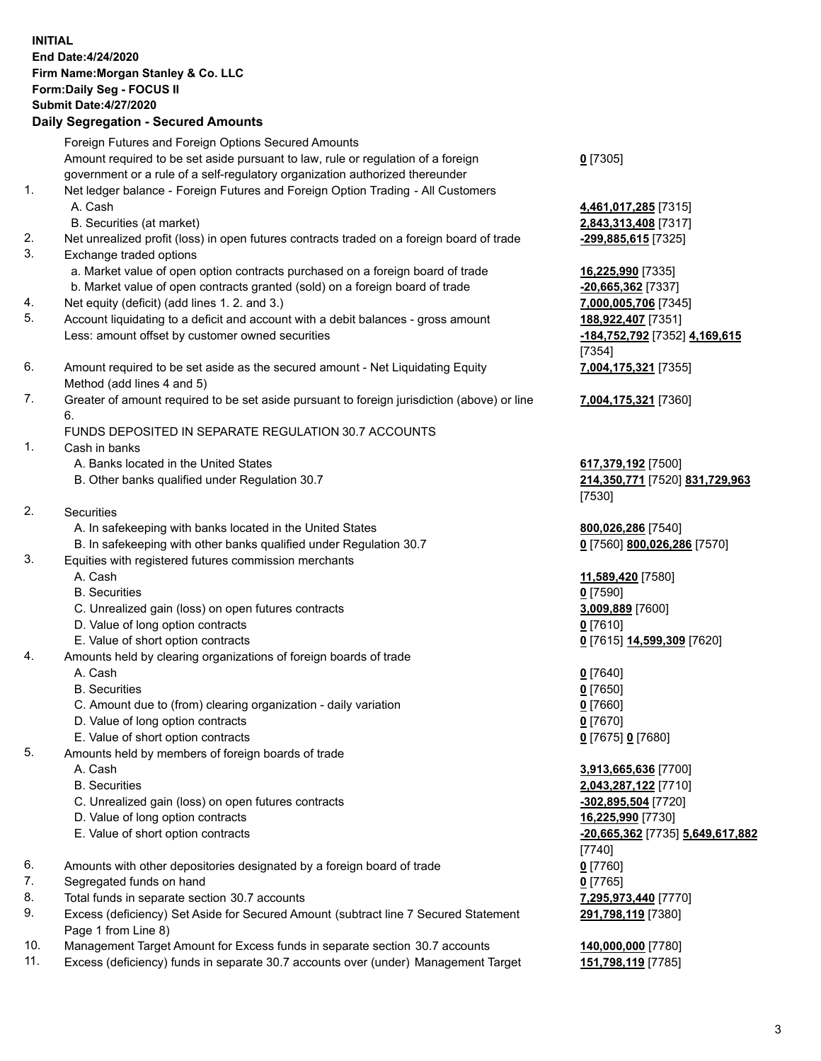| <b>INITIAL</b> | End Date:4/24/2020<br>Firm Name: Morgan Stanley & Co. LLC<br>Form: Daily Seg - FOCUS II<br><b>Submit Date:4/27/2020</b><br><b>Daily Segregation - Secured Amounts</b> |                                              |
|----------------|-----------------------------------------------------------------------------------------------------------------------------------------------------------------------|----------------------------------------------|
|                | Foreign Futures and Foreign Options Secured Amounts                                                                                                                   |                                              |
|                | Amount required to be set aside pursuant to law, rule or regulation of a foreign                                                                                      | $0$ [7305]                                   |
| 1.             | government or a rule of a self-regulatory organization authorized thereunder<br>Net ledger balance - Foreign Futures and Foreign Option Trading - All Customers       |                                              |
|                | A. Cash                                                                                                                                                               | 4,461,017,285 [7315]                         |
|                | B. Securities (at market)                                                                                                                                             | 2,843,313,408 [7317]                         |
| 2.             | Net unrealized profit (loss) in open futures contracts traded on a foreign board of trade                                                                             | -299,885,615 [7325]                          |
| 3.             | Exchange traded options                                                                                                                                               |                                              |
|                | a. Market value of open option contracts purchased on a foreign board of trade                                                                                        | 16,225,990 [7335]                            |
| 4.             | b. Market value of open contracts granted (sold) on a foreign board of trade<br>Net equity (deficit) (add lines 1.2. and 3.)                                          | $-20,665,362$ [7337]<br>7,000,005,706 [7345] |
| 5.             | Account liquidating to a deficit and account with a debit balances - gross amount                                                                                     | 188,922,407 [7351]                           |
|                | Less: amount offset by customer owned securities                                                                                                                      | -184,752,792 [7352] 4,169,615                |
|                |                                                                                                                                                                       | [7354]                                       |
| 6.             | Amount required to be set aside as the secured amount - Net Liquidating Equity                                                                                        | 7,004,175,321 [7355]                         |
| 7.             | Method (add lines 4 and 5)                                                                                                                                            |                                              |
|                | Greater of amount required to be set aside pursuant to foreign jurisdiction (above) or line<br>6.                                                                     | 7,004,175,321 [7360]                         |
|                | FUNDS DEPOSITED IN SEPARATE REGULATION 30.7 ACCOUNTS                                                                                                                  |                                              |
| 1.             | Cash in banks                                                                                                                                                         |                                              |
|                | A. Banks located in the United States                                                                                                                                 | 617,379,192 [7500]                           |
|                | B. Other banks qualified under Regulation 30.7                                                                                                                        | 214,350,771 [7520] 831,729,963               |
| 2.             | Securities                                                                                                                                                            | [7530]                                       |
|                | A. In safekeeping with banks located in the United States                                                                                                             | 800,026,286 [7540]                           |
|                | B. In safekeeping with other banks qualified under Regulation 30.7                                                                                                    | 0 [7560] 800,026,286 [7570]                  |
| 3.             | Equities with registered futures commission merchants                                                                                                                 |                                              |
|                | A. Cash                                                                                                                                                               | 11,589,420 [7580]                            |
|                | <b>B.</b> Securities                                                                                                                                                  | $0$ [7590]                                   |
|                | C. Unrealized gain (loss) on open futures contracts<br>D. Value of long option contracts                                                                              | 3,009,889 [7600]<br>$0$ [7610]               |
|                | E. Value of short option contracts                                                                                                                                    | 0 [7615] 14,599,309 [7620]                   |
| 4.             | Amounts held by clearing organizations of foreign boards of trade                                                                                                     |                                              |
|                | A. Cash                                                                                                                                                               | $0$ [7640]                                   |
|                | <b>B.</b> Securities                                                                                                                                                  | $0$ [7650]                                   |
|                | C. Amount due to (from) clearing organization - daily variation                                                                                                       | $0$ [7660]                                   |
|                | D. Value of long option contracts<br>E. Value of short option contracts                                                                                               | $0$ [7670]<br>0 [7675] 0 [7680]              |
| 5.             | Amounts held by members of foreign boards of trade                                                                                                                    |                                              |
|                | A. Cash                                                                                                                                                               | 3,913,665,636 [7700]                         |
|                | <b>B.</b> Securities                                                                                                                                                  | 2,043,287,122 [7710]                         |
|                | C. Unrealized gain (loss) on open futures contracts                                                                                                                   | -302,895,504 [7720]                          |
|                | D. Value of long option contracts                                                                                                                                     | 16,225,990 [7730]                            |
|                | E. Value of short option contracts                                                                                                                                    | -20,665,362 [7735] 5,649,617,882             |
| 6.             | Amounts with other depositories designated by a foreign board of trade                                                                                                | $[7740]$<br>$0$ [7760]                       |
| 7.             | Segregated funds on hand                                                                                                                                              | $0$ [7765]                                   |
| 8.             | Total funds in separate section 30.7 accounts                                                                                                                         | 7,295,973,440 [7770]                         |
| 9.             | Excess (deficiency) Set Aside for Secured Amount (subtract line 7 Secured Statement                                                                                   | 291,798,119 [7380]                           |
|                | Page 1 from Line 8)                                                                                                                                                   |                                              |

- 10. Management Target Amount for Excess funds in separate section 30.7 accounts **140,000,000** [7780]
- 11. Excess (deficiency) funds in separate 30.7 accounts over (under) Management Target **151,798,119** [7785]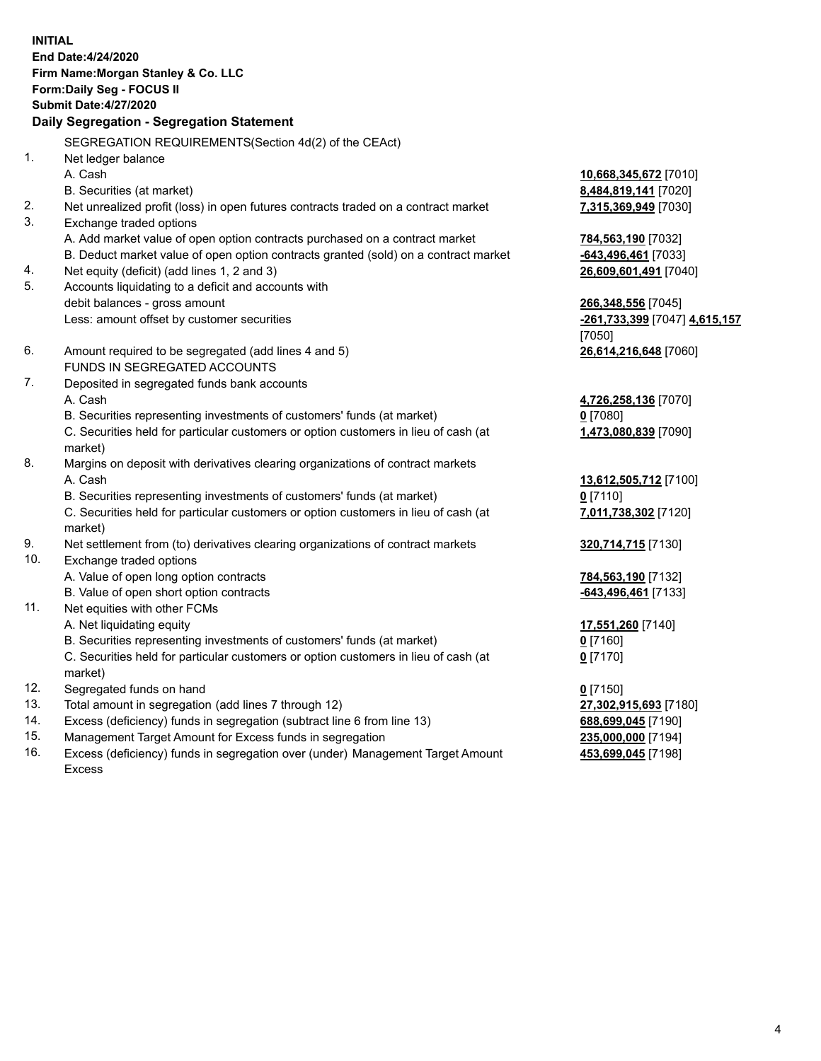**INITIAL End Date:4/24/2020 Firm Name:Morgan Stanley & Co. LLC Form:Daily Seg - FOCUS II Submit Date:4/27/2020 Daily Segregation - Segregation Statement** SEGREGATION REQUIREMENTS(Section 4d(2) of the CEAct) 1. Net ledger balance A. Cash **10,668,345,672** [7010] B. Securities (at market) **8,484,819,141** [7020] 2. Net unrealized profit (loss) in open futures contracts traded on a contract market **7,315,369,949** [7030] 3. Exchange traded options A. Add market value of open option contracts purchased on a contract market **784,563,190** [7032] B. Deduct market value of open option contracts granted (sold) on a contract market **-643,496,461** [7033] 4. Net equity (deficit) (add lines 1, 2 and 3) **26,609,601,491** [7040] 5. Accounts liquidating to a deficit and accounts with debit balances - gross amount **266,348,556** [7045] Less: amount offset by customer securities **-261,733,399** [7047] **4,615,157** [7050] 6. Amount required to be segregated (add lines 4 and 5) **26,614,216,648** [7060] FUNDS IN SEGREGATED ACCOUNTS 7. Deposited in segregated funds bank accounts A. Cash **4,726,258,136** [7070] B. Securities representing investments of customers' funds (at market) **0** [7080] C. Securities held for particular customers or option customers in lieu of cash (at market) **1,473,080,839** [7090] 8. Margins on deposit with derivatives clearing organizations of contract markets A. Cash **13,612,505,712** [7100] B. Securities representing investments of customers' funds (at market) **0** [7110] C. Securities held for particular customers or option customers in lieu of cash (at market) **7,011,738,302** [7120] 9. Net settlement from (to) derivatives clearing organizations of contract markets **320,714,715** [7130] 10. Exchange traded options A. Value of open long option contracts **784,563,190** [7132] B. Value of open short option contracts **-643,496,461** [7133] 11. Net equities with other FCMs A. Net liquidating equity **17,551,260** [7140] B. Securities representing investments of customers' funds (at market) **0** [7160] C. Securities held for particular customers or option customers in lieu of cash (at market) **0** [7170] 12. Segregated funds on hand **0** [7150] 13. Total amount in segregation (add lines 7 through 12) **27,302,915,693** [7180] 14. Excess (deficiency) funds in segregation (subtract line 6 from line 13) **688,699,045** [7190] 15. Management Target Amount for Excess funds in segregation **235,000,000** [7194]

16. Excess (deficiency) funds in segregation over (under) Management Target Amount Excess

**453,699,045** [7198]